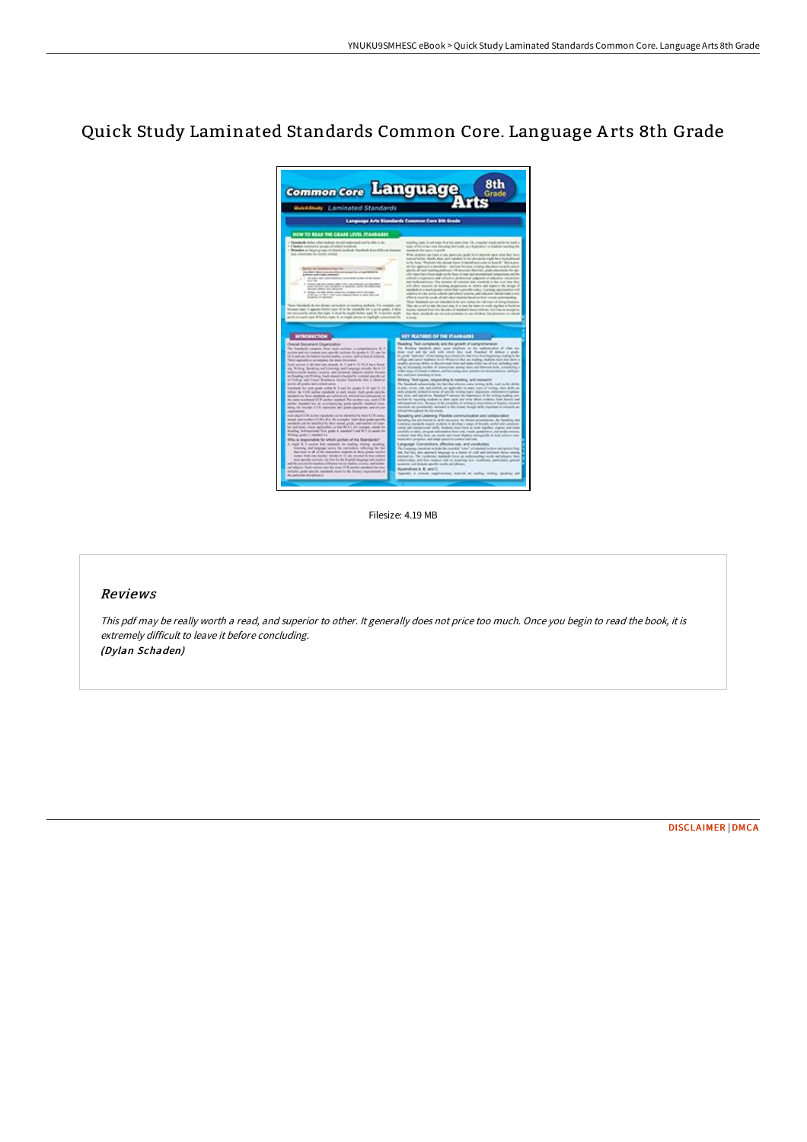# Quick Study Laminated Standards Common Core. Language A rts 8th Grade



Filesize: 4.19 MB

# Reviews

This pdf may be really worth <sup>a</sup> read, and superior to other. It generally does not price too much. Once you begin to read the book, it is extremely difficult to leave it before concluding. (Dylan Schaden)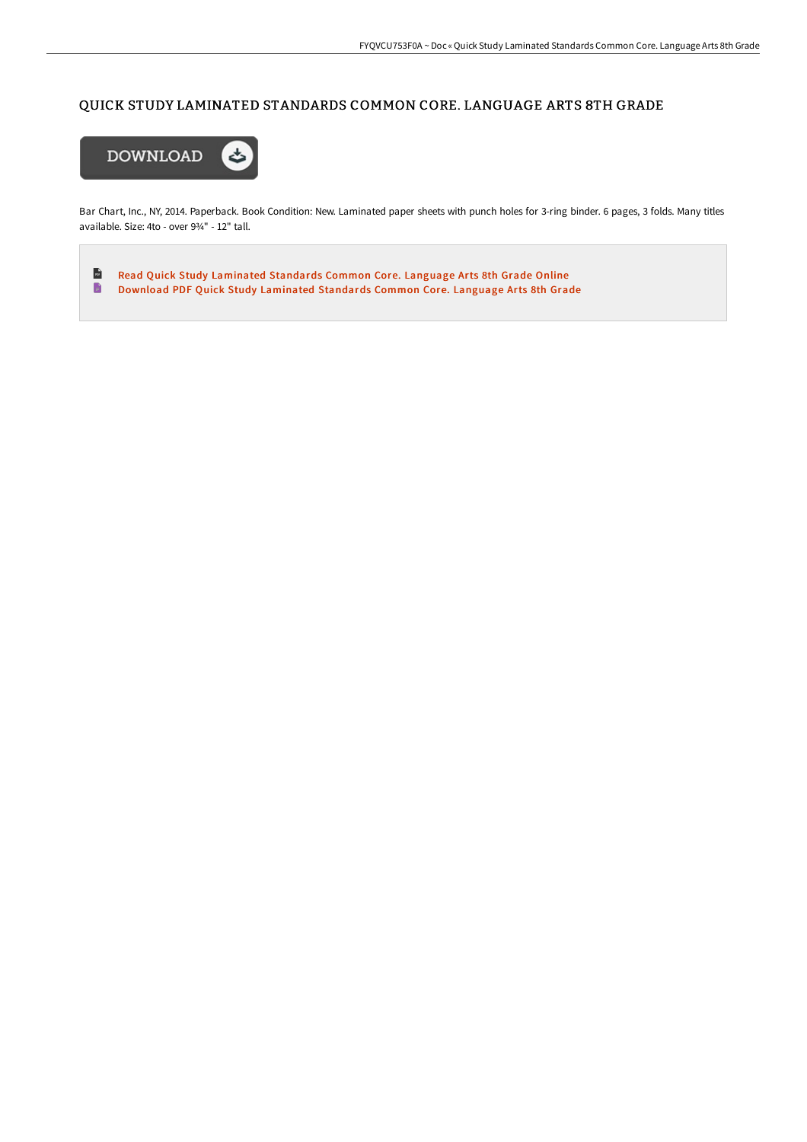# QUICK STUDY LAMINATED STANDARDS COMMON CORE. LANGUAGE ARTS 8TH GRADE



Bar Chart, Inc., NY, 2014. Paperback. Book Condition: New. Laminated paper sheets with punch holes for 3-ring binder. 6 pages, 3 folds. Many titles available. Size: 4to - over 9¾" - 12" tall.

 $\mathbf{r}$ Read Quick Study [Laminated](http://bookera.tech/quick-study-laminated-standards-common-core-lang.html) Standards Common Core. Language Arts 8th Grade Online  $\blacksquare$ Download PDF Quick Study [Laminated](http://bookera.tech/quick-study-laminated-standards-common-core-lang.html) Standards Common Core. Language Arts 8th Grade